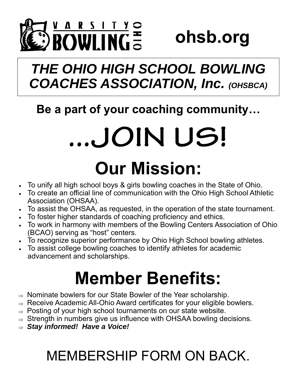

**ohsb.org** 

## *THE OHIO HIGH SCHOOL BOWLING COACHES ASSOCIATION, Inc. (OHSBCA)*

### **Be a part of your coaching community…**

# **...JOIN US!**

# **Our Mission:**

- To unify all high school boys & girls bowling coaches in the State of Ohio.
- To create an official line of communication with the Ohio High School Athletic Association (OHSAA).
- To assist the OHSAA, as requested, in the operation of the state tournament.
- To foster higher standards of coaching proficiency and ethics.
- To work in harmony with members of the Bowling Centers Association of Ohio (BCAO) serving as "host" centers.
- To recognize superior performance by Ohio High School bowling athletes.
- To assist college bowling coaches to identify athletes for academic advancement and scholarships.

# **Member Benefits:**

- $\Rightarrow$  Nominate bowlers for our State Bowler of the Year scholarship.
- $\Rightarrow$  Receive Academic All-Ohio Award certificates for your eligible bowlers.
- $\Rightarrow$  Posting of your high school tournaments on our state website.
- $\Rightarrow$  Strength in numbers give us influence with OHSAA bowling decisions.
- *Stay informed! Have a Voice!*

## MEMBERSHIP FORM ON BACK.